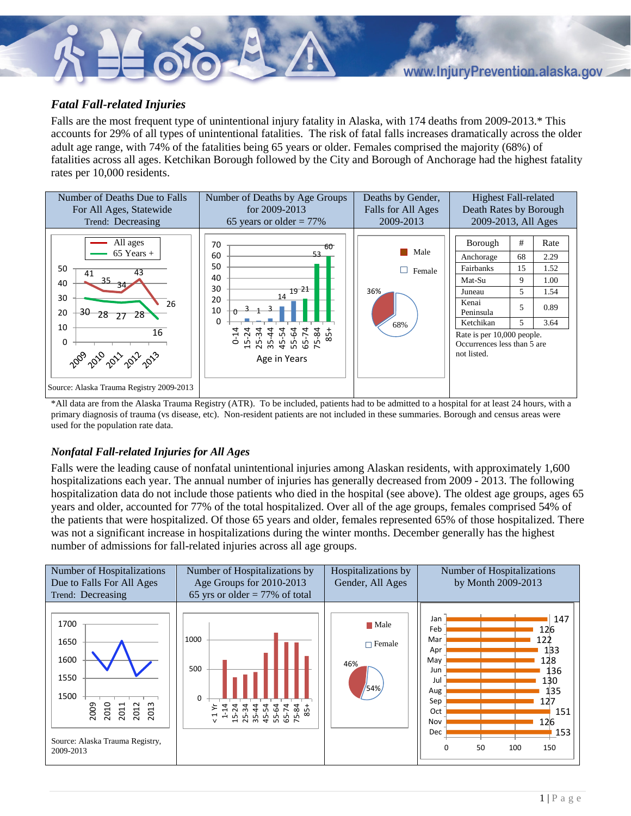## *Fatal Fall-related Injuries*

Falls are the most frequent type of unintentional injury fatality in Alaska, with 174 deaths from 2009-2013.\* This accounts for 29% of all types of unintentional fatalities. The risk of fatal falls increases dramatically across the older adult age range, with 74% of the fatalities being 65 years or older. Females comprised the majority (68%) of fatalities across all ages. Ketchikan Borough followed by the City and Borough of Anchorage had the highest fatality rates per 10,000 residents.



\*All data are from the Alaska Trauma Registry (ATR). To be included, patients had to be admitted to a hospital for at least 24 hours, with a primary diagnosis of trauma (vs disease, etc). Non-resident patients are not included in these summaries. Borough and census areas were used for the population rate data.

## *Nonfatal Fall-related Injuries for All Ages*

Falls were the leading cause of nonfatal unintentional injuries among Alaskan residents, with approximately 1,600 hospitalizations each year. The annual number of injuries has generally decreased from 2009 - 2013. The following hospitalization data do not include those patients who died in the hospital (see above). The oldest age groups, ages 65 years and older, accounted for 77% of the total hospitalized. Over all of the age groups, females comprised 54% of the patients that were hospitalized. Of those 65 years and older, females represented 65% of those hospitalized. There was not a significant increase in hospitalizations during the winter months. December generally has the highest number of admissions for fall-related injuries across all age groups.